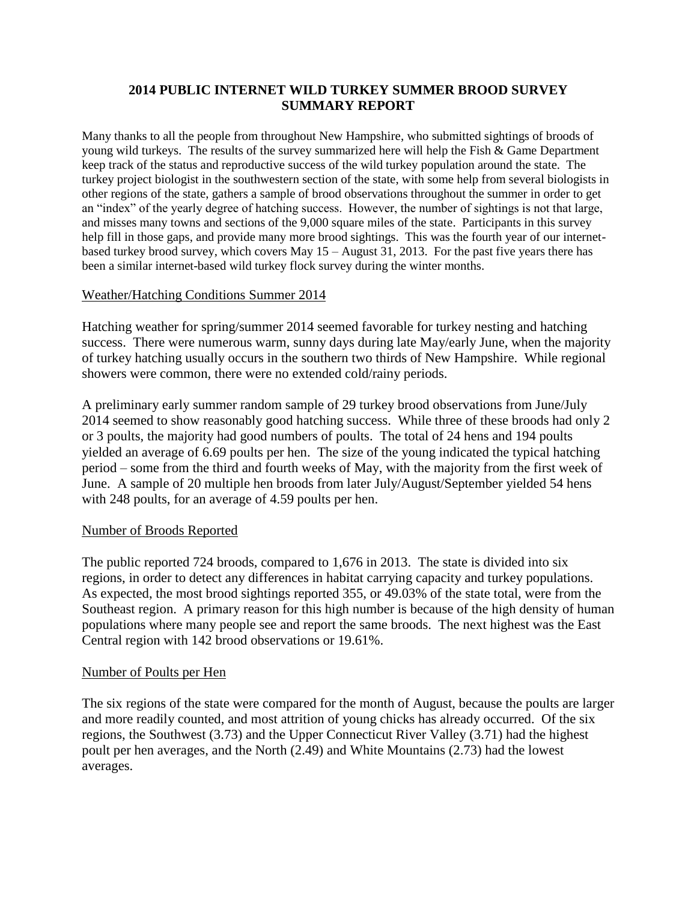### **2014 PUBLIC INTERNET WILD TURKEY SUMMER BROOD SURVEY SUMMARY REPORT**

Many thanks to all the people from throughout New Hampshire, who submitted sightings of broods of young wild turkeys. The results of the survey summarized here will help the Fish & Game Department keep track of the status and reproductive success of the wild turkey population around the state. The turkey project biologist in the southwestern section of the state, with some help from several biologists in other regions of the state, gathers a sample of brood observations throughout the summer in order to get an "index" of the yearly degree of hatching success. However, the number of sightings is not that large, and misses many towns and sections of the 9,000 square miles of the state. Participants in this survey help fill in those gaps, and provide many more brood sightings. This was the fourth year of our internetbased turkey brood survey, which covers May 15 – August 31, 2013. For the past five years there has been a similar internet-based wild turkey flock survey during the winter months.

### Weather/Hatching Conditions Summer 2014

Hatching weather for spring/summer 2014 seemed favorable for turkey nesting and hatching success. There were numerous warm, sunny days during late May/early June, when the majority of turkey hatching usually occurs in the southern two thirds of New Hampshire. While regional showers were common, there were no extended cold/rainy periods.

A preliminary early summer random sample of 29 turkey brood observations from June/July 2014 seemed to show reasonably good hatching success. While three of these broods had only 2 or 3 poults, the majority had good numbers of poults. The total of 24 hens and 194 poults yielded an average of 6.69 poults per hen. The size of the young indicated the typical hatching period – some from the third and fourth weeks of May, with the majority from the first week of June. A sample of 20 multiple hen broods from later July/August/September yielded 54 hens with 248 poults, for an average of 4.59 poults per hen.

#### Number of Broods Reported

The public reported 724 broods, compared to 1,676 in 2013. The state is divided into six regions, in order to detect any differences in habitat carrying capacity and turkey populations. As expected, the most brood sightings reported 355, or 49.03% of the state total, were from the Southeast region. A primary reason for this high number is because of the high density of human populations where many people see and report the same broods. The next highest was the East Central region with 142 brood observations or 19.61%.

#### Number of Poults per Hen

The six regions of the state were compared for the month of August, because the poults are larger and more readily counted, and most attrition of young chicks has already occurred. Of the six regions, the Southwest (3.73) and the Upper Connecticut River Valley (3.71) had the highest poult per hen averages, and the North (2.49) and White Mountains (2.73) had the lowest averages.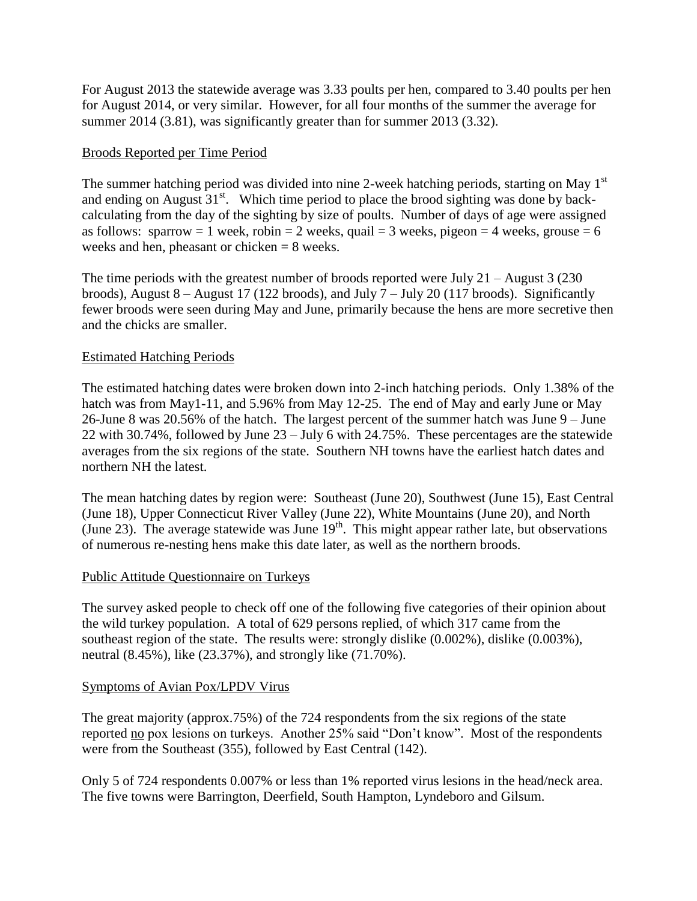For August 2013 the statewide average was 3.33 poults per hen, compared to 3.40 poults per hen for August 2014, or very similar. However, for all four months of the summer the average for summer 2014 (3.81), was significantly greater than for summer 2013 (3.32).

### Broods Reported per Time Period

The summer hatching period was divided into nine 2-week hatching periods, starting on May 1<sup>st</sup> and ending on August  $31<sup>st</sup>$ . Which time period to place the brood sighting was done by backcalculating from the day of the sighting by size of poults. Number of days of age were assigned as follows: sparrow = 1 week, robin = 2 weeks, quail = 3 weeks, pigeon = 4 weeks, grouse = 6 weeks and hen, pheasant or chicken = 8 weeks.

The time periods with the greatest number of broods reported were July 21 – August 3 (230 broods), August  $8 -$ August 17 (122 broods), and July  $7 -$  July 20 (117 broods). Significantly fewer broods were seen during May and June, primarily because the hens are more secretive then and the chicks are smaller.

### Estimated Hatching Periods

The estimated hatching dates were broken down into 2-inch hatching periods. Only 1.38% of the hatch was from May1-11, and 5.96% from May 12-25. The end of May and early June or May 26-June 8 was 20.56% of the hatch. The largest percent of the summer hatch was June 9 – June 22 with 30.74%, followed by June 23 – July 6 with 24.75%. These percentages are the statewide averages from the six regions of the state. Southern NH towns have the earliest hatch dates and northern NH the latest.

The mean hatching dates by region were: Southeast (June 20), Southwest (June 15), East Central (June 18), Upper Connecticut River Valley (June 22), White Mountains (June 20), and North (June 23). The average statewide was June  $19<sup>th</sup>$ . This might appear rather late, but observations of numerous re-nesting hens make this date later, as well as the northern broods.

#### Public Attitude Questionnaire on Turkeys

The survey asked people to check off one of the following five categories of their opinion about the wild turkey population. A total of 629 persons replied, of which 317 came from the southeast region of the state. The results were: strongly dislike (0.002%), dislike (0.003%), neutral (8.45%), like (23.37%), and strongly like (71.70%).

#### Symptoms of Avian Pox/LPDV Virus

The great majority (approx.75%) of the 724 respondents from the six regions of the state reported no pox lesions on turkeys. Another 25% said "Don't know". Most of the respondents were from the Southeast (355), followed by East Central (142).

Only 5 of 724 respondents 0.007% or less than 1% reported virus lesions in the head/neck area. The five towns were Barrington, Deerfield, South Hampton, Lyndeboro and Gilsum.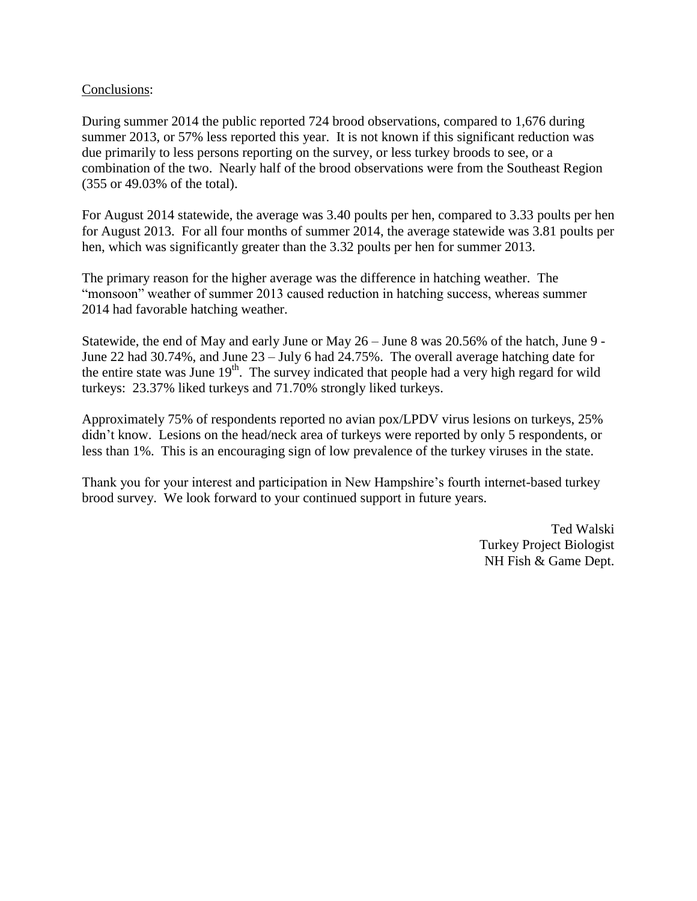#### Conclusions:

During summer 2014 the public reported 724 brood observations, compared to 1,676 during summer 2013, or 57% less reported this year. It is not known if this significant reduction was due primarily to less persons reporting on the survey, or less turkey broods to see, or a combination of the two. Nearly half of the brood observations were from the Southeast Region (355 or 49.03% of the total).

For August 2014 statewide, the average was 3.40 poults per hen, compared to 3.33 poults per hen for August 2013. For all four months of summer 2014, the average statewide was 3.81 poults per hen, which was significantly greater than the 3.32 poults per hen for summer 2013.

The primary reason for the higher average was the difference in hatching weather. The "monsoon" weather of summer 2013 caused reduction in hatching success, whereas summer 2014 had favorable hatching weather.

Statewide, the end of May and early June or May 26 – June 8 was 20.56% of the hatch, June 9 - June 22 had 30.74%, and June 23 – July 6 had 24.75%. The overall average hatching date for the entire state was June 19<sup>th</sup>. The survey indicated that people had a very high regard for wild turkeys: 23.37% liked turkeys and 71.70% strongly liked turkeys.

Approximately 75% of respondents reported no avian pox/LPDV virus lesions on turkeys, 25% didn't know. Lesions on the head/neck area of turkeys were reported by only 5 respondents, or less than 1%. This is an encouraging sign of low prevalence of the turkey viruses in the state.

Thank you for your interest and participation in New Hampshire's fourth internet-based turkey brood survey. We look forward to your continued support in future years.

> Ted Walski Turkey Project Biologist NH Fish & Game Dept.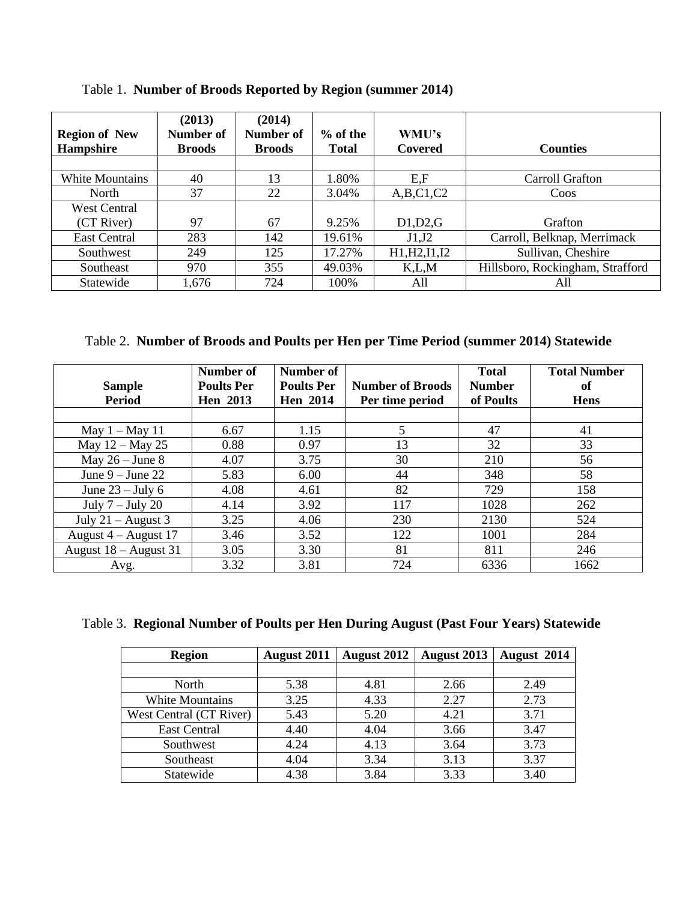| <b>Region of New</b><br><b>Hampshire</b> | (2013)<br>Number of<br><b>Broods</b> | (2014)<br><b>Number of</b><br><b>Broods</b> | $%$ of the<br><b>Total</b> | WMU's<br>Covered | <b>Counties</b>                  |
|------------------------------------------|--------------------------------------|---------------------------------------------|----------------------------|------------------|----------------------------------|
|                                          |                                      |                                             |                            |                  |                                  |
| <b>White Mountains</b>                   | 40                                   | 13                                          | 1.80%                      | E, F             | Carroll Grafton                  |
| North                                    | 37                                   | 22                                          | 3.04%                      | A,B,C1,C2        | Coos                             |
| <b>West Central</b>                      |                                      |                                             |                            |                  |                                  |
| (CT River)                               | 97                                   | 67                                          | 9.25%                      | D1,D2,G          | Grafton                          |
| East Central                             | 283                                  | 142                                         | 19.61%                     | J1,J2            | Carroll, Belknap, Merrimack      |
| Southwest                                | 249                                  | 125                                         | 17.27%                     | H1, H2, I1, I2   | Sullivan, Cheshire               |
| Southeast                                | 970                                  | 355                                         | 49.03%                     | K, L, M          | Hillsboro, Rockingham, Strafford |
| Statewide                                | 1,676                                | 724                                         | 100%                       | All              | All                              |

Table 1. **Number of Broods Reported by Region (summer 2014)**

Table 2. **Number of Broods and Poults per Hen per Time Period (summer 2014) Statewide**

| <b>Sample</b><br><b>Period</b> | Number of<br><b>Poults Per</b><br><b>Hen</b> 2013 | Number of<br><b>Poults Per</b><br><b>Hen</b> 2014 | <b>Number of Broods</b><br>Per time period | <b>Total</b><br><b>Number</b><br>of Poults | <b>Total Number</b><br>of<br><b>Hens</b> |
|--------------------------------|---------------------------------------------------|---------------------------------------------------|--------------------------------------------|--------------------------------------------|------------------------------------------|
|                                |                                                   |                                                   |                                            |                                            |                                          |
| May $1 -$ May 11               | 6.67                                              | 1.15                                              | 5                                          | 47                                         | 41                                       |
| May 12 – May 25                | 0.88                                              | 0.97                                              | 13                                         | 32                                         | 33                                       |
| May $26 - June 8$              | 4.07                                              | 3.75                                              | 30                                         | 210                                        | 56                                       |
| June $9 -$ June 22             | 5.83                                              | 6.00                                              | 44                                         | 348                                        | 58                                       |
| June $23 -$ July 6             | 4.08                                              | 4.61                                              | 82                                         | 729                                        | 158                                      |
| July $7 -$ July 20             | 4.14                                              | 3.92                                              | 117                                        | 1028                                       | 262                                      |
| July $21 -$ August 3           | 3.25                                              | 4.06                                              | 230                                        | 2130                                       | 524                                      |
| August $4 -$ August 17         | 3.46                                              | 3.52                                              | 122                                        | 1001                                       | 284                                      |
| August $18 -$ August 31        | 3.05                                              | 3.30                                              | 81                                         | 811                                        | 246                                      |
| Avg.                           | 3.32                                              | 3.81                                              | 724                                        | 6336                                       | 1662                                     |

|  |  |  | Table 3. Regional Number of Poults per Hen During August (Past Four Years) Statewide |  |
|--|--|--|--------------------------------------------------------------------------------------|--|
|  |  |  |                                                                                      |  |

| <b>Region</b>           | <b>August 2011</b> | <b>August 2012</b> | August 2013 | August 2014 |
|-------------------------|--------------------|--------------------|-------------|-------------|
|                         |                    |                    |             |             |
| North                   | 5.38               | 4.81               | 2.66        | 2.49        |
| <b>White Mountains</b>  | 3.25               | 4.33               | 2.27        | 2.73        |
| West Central (CT River) | 5.43               | 5.20               | 4.21        | 3.71        |
| <b>East Central</b>     | 4.40               | 4.04               | 3.66        | 3.47        |
| Southwest               | 4.24               | 4.13               | 3.64        | 3.73        |
| Southeast               | 4.04               | 3.34               | 3.13        | 3.37        |
| Statewide               | 4.38               | 3.84               | 3.33        | 3.40        |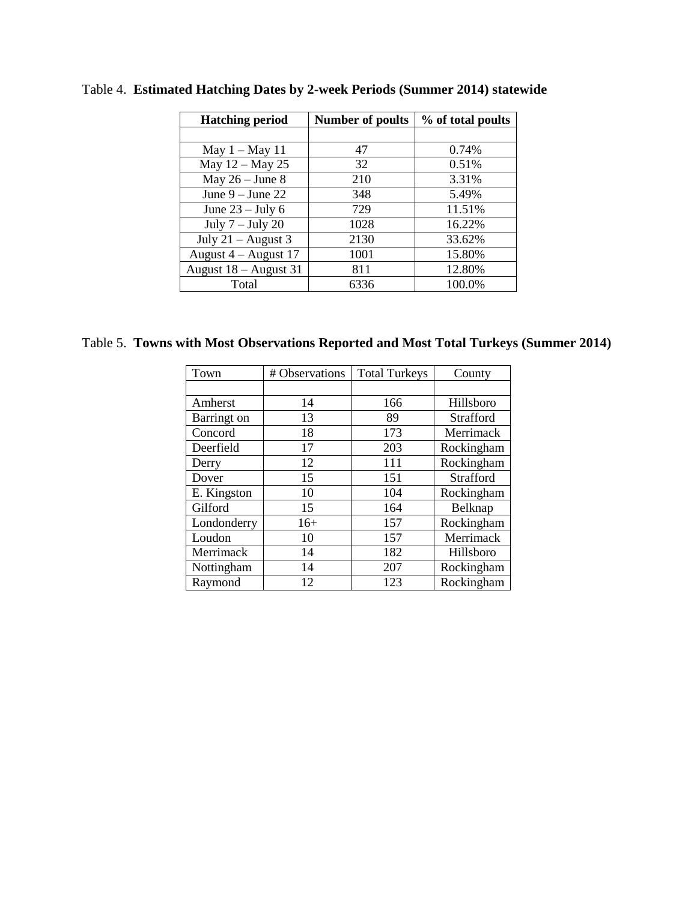| <b>Hatching period</b> | <b>Number of poults</b> | % of total poults |  |
|------------------------|-------------------------|-------------------|--|
|                        |                         |                   |  |
| May $1 -$ May 11       | 47                      | 0.74%             |  |
| May 12 - May 25        | 32                      | 0.51%             |  |
| May $26 -$ June 8      | 210                     | 3.31%             |  |
| June $9 -$ June 22     | 348                     | 5.49%             |  |
| June $23 -$ July 6     | 729                     | 11.51%            |  |
| July $7 -$ July 20     | 1028                    | 16.22%            |  |
| July $21 -$ August 3   | 2130                    | 33.62%            |  |
| August $4 -$ August 17 | 1001                    | 15.80%            |  |
| August 18 - August 31  | 811                     | 12.80%            |  |
| Total                  | 6336                    | 100.0%            |  |

Table 4. **Estimated Hatching Dates by 2-week Periods (Summer 2014) statewide**

Table 5. **Towns with Most Observations Reported and Most Total Turkeys (Summer 2014)**

| Town               | # Observations | <b>Total Turkeys</b> | County     |
|--------------------|----------------|----------------------|------------|
|                    |                |                      |            |
| Amherst            | 14             | 166                  | Hillsboro  |
| <b>Barringt</b> on | 13             | 89                   | Strafford  |
| Concord            | 18             | 173                  | Merrimack  |
| Deerfield          | 17             | 203                  | Rockingham |
| Derry              | 12             | 111                  | Rockingham |
| Dover              | 15             | 151                  | Strafford  |
| E. Kingston        | 10             | 104                  | Rockingham |
| Gilford            | 15             | 164                  | Belknap    |
| Londonderry        | $16+$          | 157                  | Rockingham |
| Loudon             | 10             | 157                  | Merrimack  |
| Merrimack          | 14             | 182                  | Hillsboro  |
| Nottingham         | 14             | 207                  | Rockingham |
| Raymond            | 12             | 123                  | Rockingham |